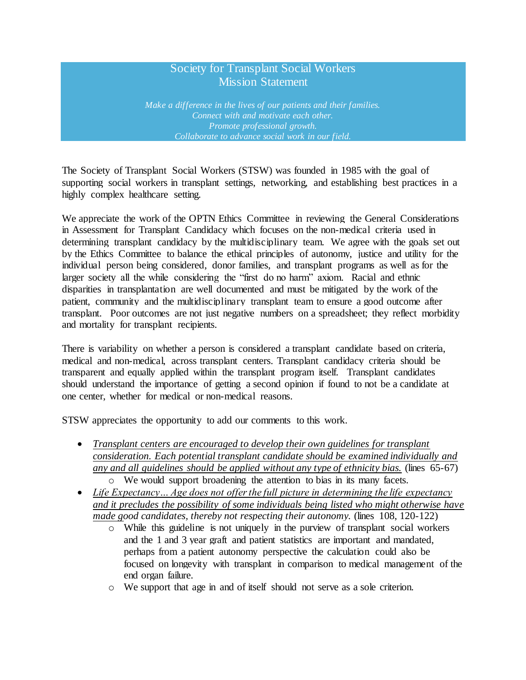## Society for Transplant Social Workers Mission Statement

*Make a difference in the lives of our patients and their families. Connect with and motivate each other. Promote professional growth. Collaborate to advance social work in our field.*

The Society of Transplant Social Workers (STSW) was founded in 1985 with the goal of supporting social workers in transplant settings, networking, and establishing best practices in a highly complex healthcare setting.

We appreciate the work of the OPTN Ethics Committee in reviewing the General Considerations in Assessment for Transplant Candidacy which focuses on the non-medical criteria used in determining transplant candidacy by the multidisciplinary team. We agree with the goals set out by the Ethics Committee to balance the ethical principles of autonomy, justice and utility for the individual person being considered, donor families, and transplant programs as well as for the larger society all the while considering the "first do no harm" axiom. Racial and ethnic disparities in transplantation are well documented and must be mitigated by the work of the patient, community and the multidisciplinary transplant team to ensure a good outcome after transplant. Poor outcomes are not just negative numbers on a spreadsheet; they reflect morbidity and mortality for transplant recipients.

There is variability on whether a person is considered a transplant candidate based on criteria, medical and non-medical, across transplant centers. Transplant candidacy criteria should be transparent and equally applied within the transplant program itself. Transplant candidates should understand the importance of getting a second opinion if found to not be a candidate at one center, whether for medical or non-medical reasons.

STSW appreciates the opportunity to add our comments to this work.

- *Transplant centers are encouraged to develop their own guidelines for transplant consideration. Each potential transplant candidate should be examined individually and any and all guidelines should be applied without any type of ethnicity bias.* (lines 65-67) o We would support broadening the attention to bias in its many facets.
- *Life Expectancy… Age does not offer the full picture in determining the life expectancy and it precludes the possibility of some individuals being listed who might otherwise have made good candidates, thereby not respecting their autonomy.* (lines 108, 120-122)
	- o While this guideline is not uniquely in the purview of transplant social workers and the 1 and 3 year graft and patient statistics are important and mandated, perhaps from a patient autonomy perspective the calculation could also be focused on longevity with transplant in comparison to medical management of the end organ failure.
	- o We support that age in and of itself should not serve as a sole criterion.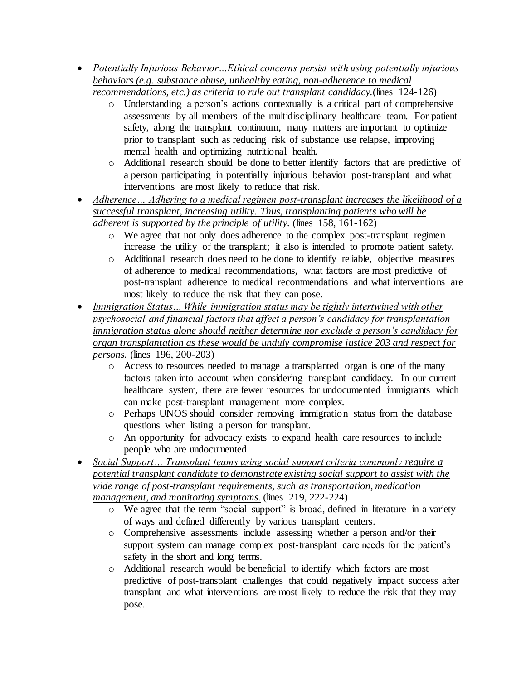- *Potentially Injurious Behavior…Ethical concerns persist with using potentially injurious behaviors (e.g. substance abuse, unhealthy eating, non-adherence to medical recommendations, etc.) as criteria to rule out transplant candidacy.*(lines 124-126)
	- o Understanding a person's actions contextually is a critical part of comprehensive assessments by all members of the multidisciplinary healthcare team. For patient safety, along the transplant continuum, many matters are important to optimize prior to transplant such as reducing risk of substance use relapse, improving mental health and optimizing nutritional health.
	- o Additional research should be done to better identify factors that are predictive of a person participating in potentially injurious behavior post-transplant and what interventions are most likely to reduce that risk.
- *Adherence… Adhering to a medical regimen post-transplant increases the likelihood of a successful transplant, increasing utility. Thus, transplanting patients who will be adherent is supported by the principle of utility.* (lines 158, 161-162)
	- o We agree that not only does adherence to the complex post-transplant regimen increase the utility of the transplant; it also is intended to promote patient safety.
	- o Additional research does need to be done to identify reliable, objective measures of adherence to medical recommendations, what factors are most predictive of post-transplant adherence to medical recommendations and what interventions are most likely to reduce the risk that they can pose.
- *Immigration Status… While immigration status may be tightly intertwined with other psychosocial and financial factors that affect a person's candidacy for transplantation immigration status alone should neither determine nor exclude a person's candidacy for organ transplantation as these would be unduly compromise justice 203 and respect for persons.* (lines 196, 200-203)
	- o Access to resources needed to manage a transplanted organ is one of the many factors taken into account when considering transplant candidacy. In our current healthcare system, there are fewer resources for undocumented immigrants which can make post-transplant management more complex.
	- o Perhaps UNOS should consider removing immigration status from the database questions when listing a person for transplant.
	- o An opportunity for advocacy exists to expand health care resources to include people who are undocumented.
- *Social Support… Transplant teams using social support criteria commonly require a potential transplant candidate to demonstrate existing social support to assist with the wide range of post-transplant requirements, such as transportation, medication management, and monitoring symptoms.* (lines 219, 222-224)
	- o We agree that the term "social support" is broad, defined in literature in a variety of ways and defined differently by various transplant centers.
	- o Comprehensive assessments include assessing whether a person and/or their support system can manage complex post-transplant care needs for the patient's safety in the short and long terms.
	- o Additional research would be beneficial to identify which factors are most predictive of post-transplant challenges that could negatively impact success after transplant and what interventions are most likely to reduce the risk that they may pose.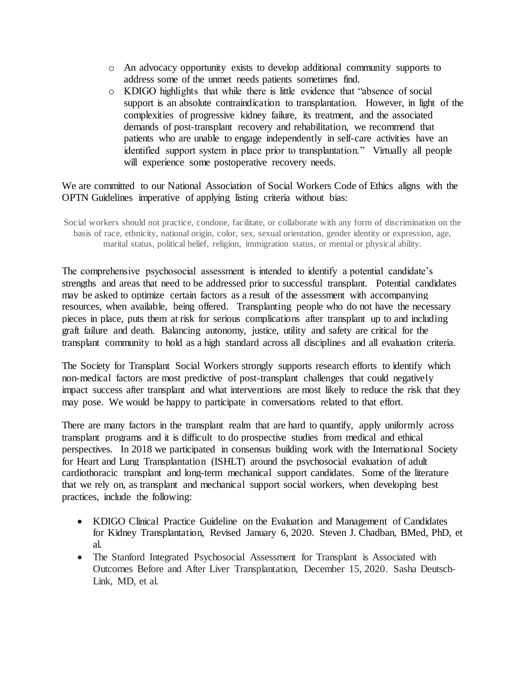- o An advocacy opportunity exists to develop additional community supports to address some of the unmet needs patients sometimes find.
- o KDIGO highlights that while there is little evidence that "absence of social support is an absolute contraindication to transplantation. However, in light of the complexities of progressive kidney failure, its treatment, and the associated demands of post-transplant recovery and rehabilitation, we recommend that patients who are unable to engage independently in self-care activities have an identified support system in place prior to transplantation." Virtually all people will experience some postoperative recovery needs.

## We are committed to our National Association of Social Workers Code of Ethics aligns with the OPTN Guidelines imperative of applying listing criteria without bias:

Social workers should not practice, condone, facilitate, or collaborate with any form of discrimination on the basis of race, ethnicity, national origin, color, sex, sexual orientation, gender identity or expression, age, marital status, political belief, religion, immigration status, or mental or physical ability.

The comprehensive psychosocial assessment is intended to identify a potential candidate's strengths and areas that need to be addressed prior to successful transplant. Potential candidates may be asked to optimize certain factors as a result of the assessment with accompanying resources, when available, being offered. Transplanting people who do not have the necessary pieces in place, puts them at risk for serious complications after transplant up to and including graft failure and death. Balancing autonomy, justice, utility and safety are critical for the transplant community to hold as a high standard across all disciplines and all evaluation criteria.

The Society for Transplant Social Workers strongly supports research efforts to identify which non-medical factors are most predictive of post-transplant challenges that could negatively impact success after transplant and what interventions are most likely to reduce the risk that they may pose. We would be happy to participate in conversations related to that effort.

There are many factors in the transplant realm that are hard to quantify, apply uniformly across transplant programs and it is difficult to do prospective studies from medical and ethical perspectives. In 2018 we participated in consensus building work with the International Society for Heart and Lung Transplantation (ISHLT) around the psychosocial evaluation of adult cardiothoracic transplant and long-term mechanical support candidates. Some of the literature that we rely on, as transplant and mechanical support social workers, when developing best practices, include the following:

- KDIGO Clinical Practice Guideline on the Evaluation and Management of Candidates for Kidney Transplantation, Revised January 6, 2020. Steven J. Chadban, BMed, PhD, et al.
- The Stanford Integrated Psychosocial Assessment for Transplant is Associated with Outcomes Before and After Liver Transplantation, December 15, 2020. Sasha Deutsch-Link, MD, et al.